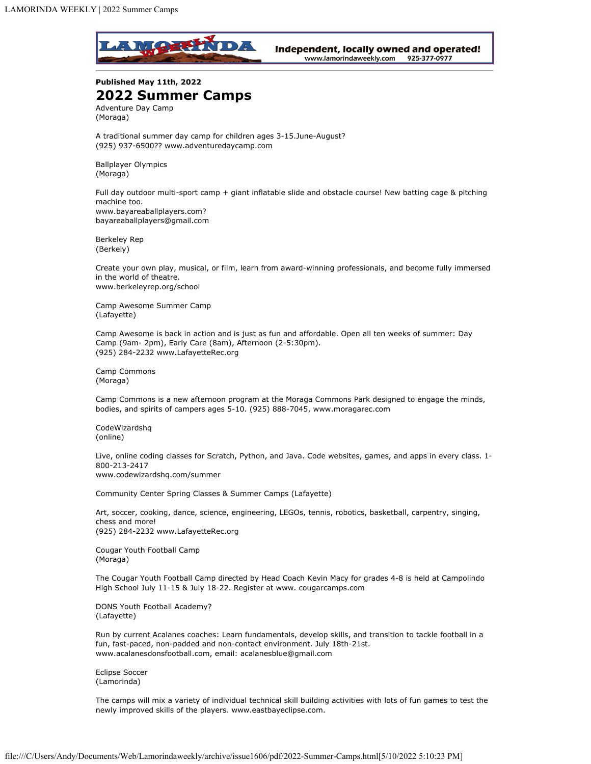

Independent, locally owned and operated! www.lamorindaweekly.com 925-377-0977

**Published May 11th, 2022 2022 Summer Camps** Adventure Day Camp (Moraga)

A traditional summer day camp for children ages 3-15.June-August? (925) 937-6500?? www.adventuredaycamp.com

Ballplayer Olympics (Moraga)

Full day outdoor multi-sport camp + giant inflatable slide and obstacle course! New batting cage & pitching machine too. www.bayareaballplayers.com? bayareaballplayers@gmail.com

Berkeley Rep (Berkely)

Create your own play, musical, or film, learn from award-winning professionals, and become fully immersed in the world of theatre. www.berkeleyrep.org/school

Camp Awesome Summer Camp (Lafayette)

Camp Awesome is back in action and is just as fun and affordable. Open all ten weeks of summer: Day Camp (9am- 2pm), Early Care (8am), Afternoon (2-5:30pm). (925) 284-2232 www.LafayetteRec.org

Camp Commons (Moraga)

Camp Commons is a new afternoon program at the Moraga Commons Park designed to engage the minds, bodies, and spirits of campers ages 5-10. (925) 888-7045, www.moragarec.com

CodeWizardshq (online)

Live, online coding classes for Scratch, Python, and Java. Code websites, games, and apps in every class. 1- 800-213-2417 www.codewizardshq.com/summer

Community Center Spring Classes & Summer Camps (Lafayette)

Art, soccer, cooking, dance, science, engineering, LEGOs, tennis, robotics, basketball, carpentry, singing, chess and more! (925) 284-2232 www.LafayetteRec.org

Cougar Youth Football Camp (Moraga)

The Cougar Youth Football Camp directed by Head Coach Kevin Macy for grades 4-8 is held at Campolindo High School July 11-15 & July 18-22. Register at www. cougarcamps.com

DONS Youth Football Academy? (Lafayette)

Run by current Acalanes coaches: Learn fundamentals, develop skills, and transition to tackle football in a fun, fast-paced, non-padded and non-contact environment. July 18th-21st. www.acalanesdonsfootball.com, email: acalanesblue@gmail.com

Eclipse Soccer (Lamorinda)

The camps will mix a variety of individual technical skill building activities with lots of fun games to test the newly improved skills of the players. www.eastbayeclipse.com.